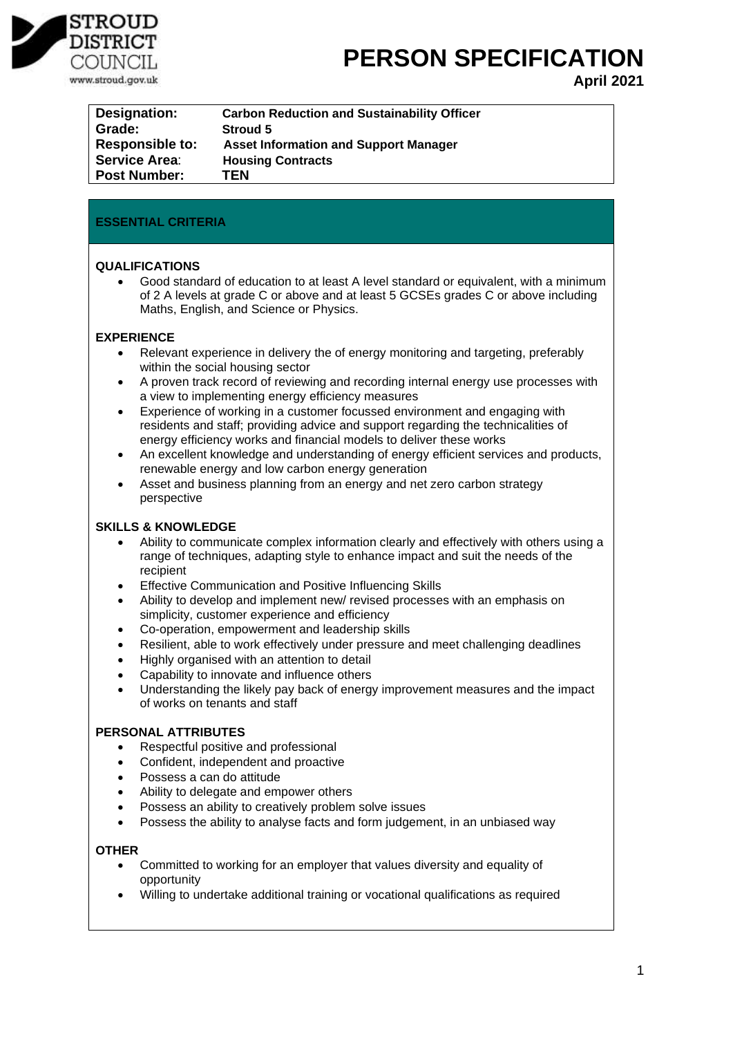

**PERSON SPECIFICATION** 

**April 2021**

| Designation:           | <b>Carbon Reduction and Sustainability Officer</b> |
|------------------------|----------------------------------------------------|
| Grade:                 | <b>Stroud 5</b>                                    |
| <b>Responsible to:</b> | <b>Asset Information and Support Manager</b>       |
| <b>Service Area:</b>   | <b>Housing Contracts</b>                           |
| <b>Post Number:</b>    | <b>TEN</b>                                         |

# **ESSENTIAL CRITERIA**

# **QUALIFICATIONS**

• Good standard of education to at least A level standard or equivalent, with a minimum of 2 A levels at grade C or above and at least 5 GCSEs grades C or above including Maths, English, and Science or Physics.

# **EXPERIENCE**

- Relevant experience in delivery the of energy monitoring and targeting, preferably within the social housing sector
- A proven track record of reviewing and recording internal energy use processes with a view to implementing energy efficiency measures
- Experience of working in a customer focussed environment and engaging with residents and staff; providing advice and support regarding the technicalities of energy efficiency works and financial models to deliver these works
- An excellent knowledge and understanding of energy efficient services and products, renewable energy and low carbon energy generation
- Asset and business planning from an energy and net zero carbon strategy perspective

## **SKILLS & KNOWLEDGE**

- Ability to communicate complex information clearly and effectively with others using a range of techniques, adapting style to enhance impact and suit the needs of the recipient
- Effective Communication and Positive Influencing Skills
- Ability to develop and implement new/ revised processes with an emphasis on simplicity, customer experience and efficiency
- Co-operation, empowerment and leadership skills
- Resilient, able to work effectively under pressure and meet challenging deadlines
- Highly organised with an attention to detail
- Capability to innovate and influence others
- Understanding the likely pay back of energy improvement measures and the impact of works on tenants and staff

## **PERSONAL ATTRIBUTES**

- Respectful positive and professional
- Confident, independent and proactive
- Possess a can do attitude
- Ability to delegate and empower others
- Possess an ability to creatively problem solve issues
- Possess the ability to analyse facts and form judgement, in an unbiased way

## **OTHER**

- Committed to working for an employer that values diversity and equality of opportunity
- Willing to undertake additional training or vocational qualifications as required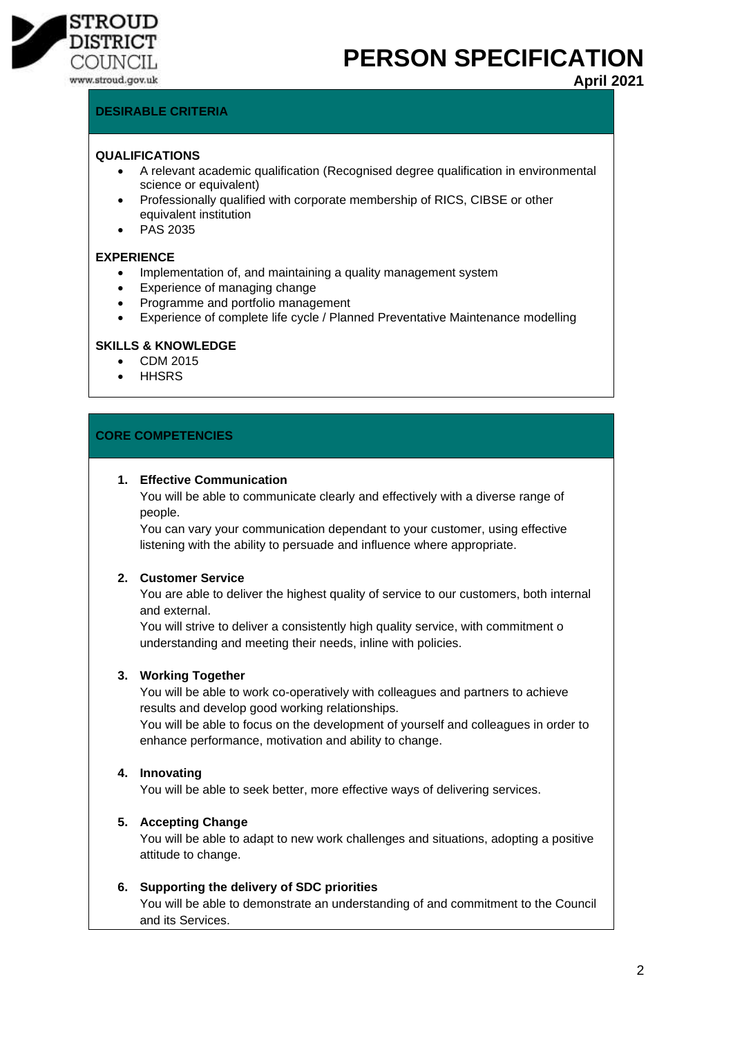

# **PERSON SPECIFICATION**

**April 2021**

# **DESIRABLE CRITERIA**

#### **QUALIFICATIONS**

- A relevant academic qualification (Recognised degree qualification in environmental science or equivalent)
- Professionally qualified with corporate membership of RICS, CIBSE or other equivalent institution
- PAS 2035

#### **EXPERIENCE**

- Implementation of, and maintaining a quality management system
- Experience of managing change
- Programme and portfolio management
- Experience of complete life cycle / Planned Preventative Maintenance modelling

#### **SKILLS & KNOWLEDGE**

- CDM 2015
- **HHSRS**

# **CORE COMPETENCIES**

#### **1. Effective Communication**

You will be able to communicate clearly and effectively with a diverse range of people.

You can vary your communication dependant to your customer, using effective listening with the ability to persuade and influence where appropriate.

# **2. Customer Service**

You are able to deliver the highest quality of service to our customers, both internal and external.

You will strive to deliver a consistently high quality service, with commitment o understanding and meeting their needs, inline with policies.

## **3. Working Together**

You will be able to work co-operatively with colleagues and partners to achieve results and develop good working relationships.

You will be able to focus on the development of yourself and colleagues in order to enhance performance, motivation and ability to change.

## **4. Innovating**

You will be able to seek better, more effective ways of delivering services.

## **5. Accepting Change**

You will be able to adapt to new work challenges and situations, adopting a positive attitude to change.

## **6. Supporting the delivery of SDC priorities**

You will be able to demonstrate an understanding of and commitment to the Council and its Services.